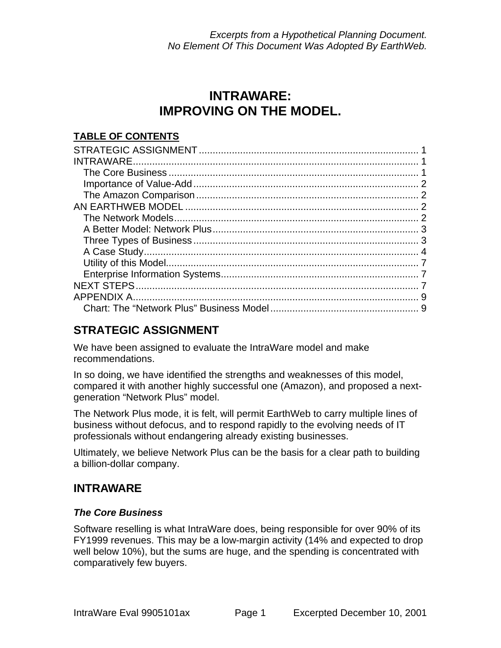# **INTRAWARE: IMPROVING ON THE MODEL.**

## **TABLE OF CONTENTS**

## **STRATEGIC ASSIGNMENT**

We have been assigned to evaluate the IntraWare model and make recommendations.

In so doing, we have identified the strengths and weaknesses of this model, compared it with another highly successful one (Amazon), and proposed a nextgeneration "Network Plus" model.

The Network Plus mode, it is felt, will permit EarthWeb to carry multiple lines of business without defocus, and to respond rapidly to the evolving needs of IT professionals without endangering already existing businesses.

Ultimately, we believe Network Plus can be the basis for a clear path to building a billion-dollar company.

## **INTRAWARE**

### *The Core Business*

Software reselling is what IntraWare does, being responsible for over 90% of its FY1999 revenues. This may be a low-margin activity (14% and expected to drop well below 10%), but the sums are huge, and the spending is concentrated with comparatively few buyers.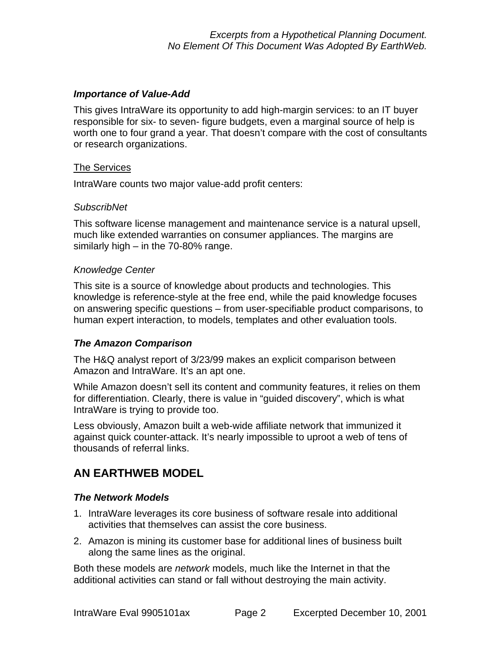### *Importance of Value-Add*

This gives IntraWare its opportunity to add high-margin services: to an IT buyer responsible for six- to seven- figure budgets, even a marginal source of help is worth one to four grand a year. That doesn't compare with the cost of consultants or research organizations.

### The Services

IntraWare counts two major value-add profit centers:

#### *SubscribNet*

This software license management and maintenance service is a natural upsell, much like extended warranties on consumer appliances. The margins are similarly high – in the 70-80% range.

#### *Knowledge Center*

This site is a source of knowledge about products and technologies. This knowledge is reference-style at the free end, while the paid knowledge focuses on answering specific questions – from user-specifiable product comparisons, to human expert interaction, to models, templates and other evaluation tools.

### *The Amazon Comparison*

The H&Q analyst report of 3/23/99 makes an explicit comparison between Amazon and IntraWare. It's an apt one.

While Amazon doesn't sell its content and community features, it relies on them for differentiation. Clearly, there is value in "guided discovery", which is what IntraWare is trying to provide too.

Less obviously, Amazon built a web-wide affiliate network that immunized it against quick counter-attack. It's nearly impossible to uproot a web of tens of thousands of referral links.

## **AN EARTHWEB MODEL**

### *The Network Models*

- 1. IntraWare leverages its core business of software resale into additional activities that themselves can assist the core business.
- 2. Amazon is mining its customer base for additional lines of business built along the same lines as the original.

Both these models are *network* models, much like the Internet in that the additional activities can stand or fall without destroying the main activity.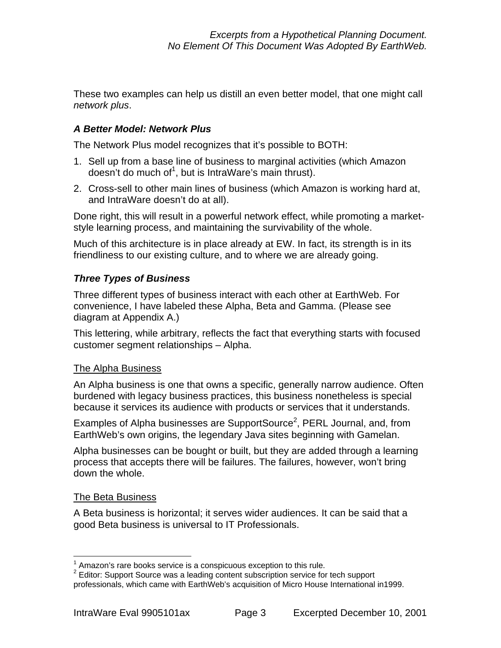These two examples can help us distill an even better model, that one might call *network plus*.

### *A Better Model: Network Plus*

The Network Plus model recognizes that it's possible to BOTH:

- 1. Sell up from a base line of business to marginal activities (which Amazon doesn't do much of<sup>1</sup>, but is IntraWare's main thrust).
- 2. Cross-sell to other main lines of business (which Amazon is working hard at, and IntraWare doesn't do at all).

Done right, this will result in a powerful network effect, while promoting a marketstyle learning process, and maintaining the survivability of the whole.

Much of this architecture is in place already at EW. In fact, its strength is in its friendliness to our existing culture, and to where we are already going.

### *Three Types of Business*

Three different types of business interact with each other at EarthWeb. For convenience, I have labeled these Alpha, Beta and Gamma. (Please see diagram at Appendix A.)

This lettering, while arbitrary, reflects the fact that everything starts with focused customer segment relationships – Alpha.

### The Alpha Business

An Alpha business is one that owns a specific, generally narrow audience. Often burdened with legacy business practices, this business nonetheless is special because it services its audience with products or services that it understands.

Examples of Alpha businesses are SupportSource<sup>2</sup>, PERL Journal, and, from EarthWeb's own origins, the legendary Java sites beginning with Gamelan.

Alpha businesses can be bought or built, but they are added through a learning process that accepts there will be failures. The failures, however, won't bring down the whole.

### The Beta Business

A Beta business is horizontal; it serves wider audiences. It can be said that a good Beta business is universal to IT Professionals.

<sup>1</sup>  $1$  Amazon's rare books service is a conspicuous exception to this rule.

 $2$  Editor: Support Source was a leading content subscription service for tech support professionals, which came with EarthWeb's acquisition of Micro House International in1999.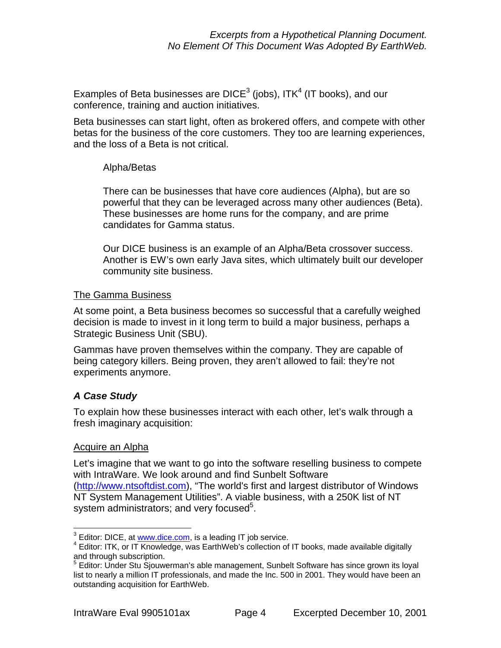Examples of Beta businesses are DICE<sup>3</sup> (jobs), ITK<sup>4</sup> (IT books), and our conference, training and auction initiatives.

Beta businesses can start light, often as brokered offers, and compete with other betas for the business of the core customers. They too are learning experiences, and the loss of a Beta is not critical.

### Alpha/Betas

There can be businesses that have core audiences (Alpha), but are so powerful that they can be leveraged across many other audiences (Beta). These businesses are home runs for the company, and are prime candidates for Gamma status.

Our DICE business is an example of an Alpha/Beta crossover success. Another is EW's own early Java sites, which ultimately built our developer community site business.

### The Gamma Business

At some point, a Beta business becomes so successful that a carefully weighed decision is made to invest in it long term to build a major business, perhaps a Strategic Business Unit (SBU).

Gammas have proven themselves within the company. They are capable of being category killers. Being proven, they aren't allowed to fail: they're not experiments anymore.

### *A Case Study*

To explain how these businesses interact with each other, let's walk through a fresh imaginary acquisition:

### Acquire an Alpha

Let's imagine that we want to go into the software reselling business to compete with IntraWare. We look around and find Sunbelt Software (http://www.ntsoftdist.com), "The world's first and largest distributor of Windows NT System Management Utilities". A viable business, with a 250K list of NT system administrators; and very focused<sup>5</sup>.

<sup>1</sup>  $^3$  Editor: DICE, at <u>www.dice.com,</u> is a leading IT job service.

<sup>&</sup>lt;sup>4</sup> Editor: ITK, or IT Knowledge, was EarthWeb's collection of IT books, made available digitally and through subscription.

<sup>&</sup>lt;sup>5</sup> Editor: Under Stu Sjouwerman's able management, Sunbelt Software has since grown its loyal list to nearly a million IT professionals, and made the Inc. 500 in 2001. They would have been an outstanding acquisition for EarthWeb.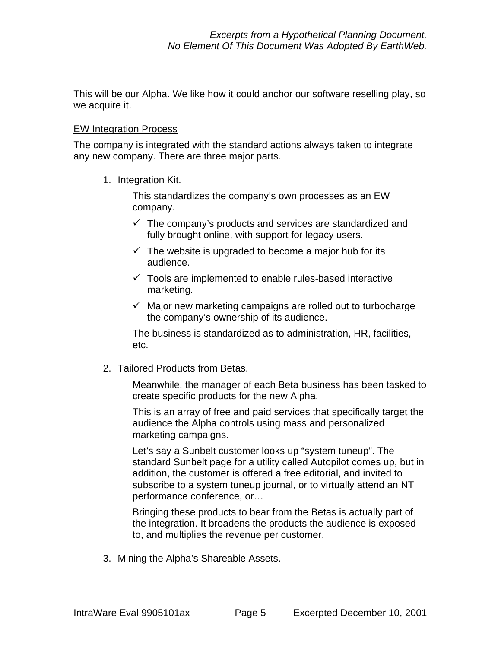This will be our Alpha. We like how it could anchor our software reselling play, so we acquire it.

#### EW Integration Process

The company is integrated with the standard actions always taken to integrate any new company. There are three major parts.

1. Integration Kit.

This standardizes the company's own processes as an EW company.

- $\checkmark$  The company's products and services are standardized and fully brought online, with support for legacy users.
- $\checkmark$  The website is upgraded to become a major hub for its audience.
- $\checkmark$  Tools are implemented to enable rules-based interactive marketing.
- $\checkmark$  Major new marketing campaigns are rolled out to turbocharge the company's ownership of its audience.

The business is standardized as to administration, HR, facilities, etc.

2. Tailored Products from Betas.

Meanwhile, the manager of each Beta business has been tasked to create specific products for the new Alpha.

This is an array of free and paid services that specifically target the audience the Alpha controls using mass and personalized marketing campaigns.

Let's say a Sunbelt customer looks up "system tuneup". The standard Sunbelt page for a utility called Autopilot comes up, but in addition, the customer is offered a free editorial, and invited to subscribe to a system tuneup journal, or to virtually attend an NT performance conference, or…

Bringing these products to bear from the Betas is actually part of the integration. It broadens the products the audience is exposed to, and multiplies the revenue per customer.

3. Mining the Alpha's Shareable Assets.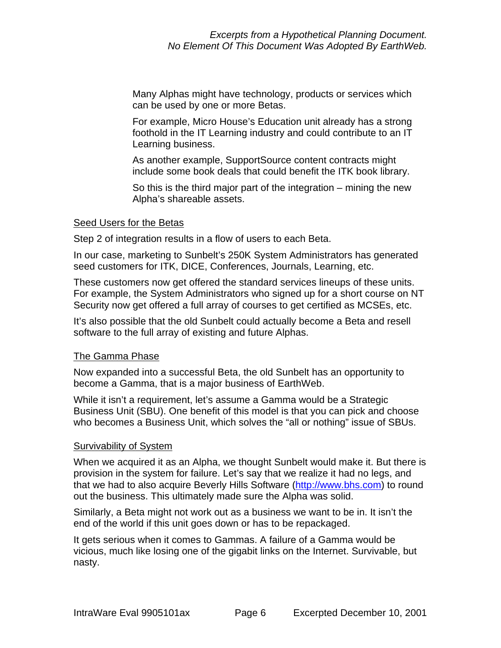Many Alphas might have technology, products or services which can be used by one or more Betas.

For example, Micro House's Education unit already has a strong foothold in the IT Learning industry and could contribute to an IT Learning business.

As another example, SupportSource content contracts might include some book deals that could benefit the ITK book library.

So this is the third major part of the integration – mining the new Alpha's shareable assets.

### Seed Users for the Betas

Step 2 of integration results in a flow of users to each Beta.

In our case, marketing to Sunbelt's 250K System Administrators has generated seed customers for ITK, DICE, Conferences, Journals, Learning, etc.

These customers now get offered the standard services lineups of these units. For example, the System Administrators who signed up for a short course on NT Security now get offered a full array of courses to get certified as MCSEs, etc.

It's also possible that the old Sunbelt could actually become a Beta and resell software to the full array of existing and future Alphas.

#### The Gamma Phase

Now expanded into a successful Beta, the old Sunbelt has an opportunity to become a Gamma, that is a major business of EarthWeb.

While it isn't a requirement, let's assume a Gamma would be a Strategic Business Unit (SBU). One benefit of this model is that you can pick and choose who becomes a Business Unit, which solves the "all or nothing" issue of SBUs.

### Survivability of System

When we acquired it as an Alpha, we thought Sunbelt would make it. But there is provision in the system for failure. Let's say that we realize it had no legs, and that we had to also acquire Beverly Hills Software (http://www.bhs.com) to round out the business. This ultimately made sure the Alpha was solid.

Similarly, a Beta might not work out as a business we want to be in. It isn't the end of the world if this unit goes down or has to be repackaged.

It gets serious when it comes to Gammas. A failure of a Gamma would be vicious, much like losing one of the gigabit links on the Internet. Survivable, but nasty.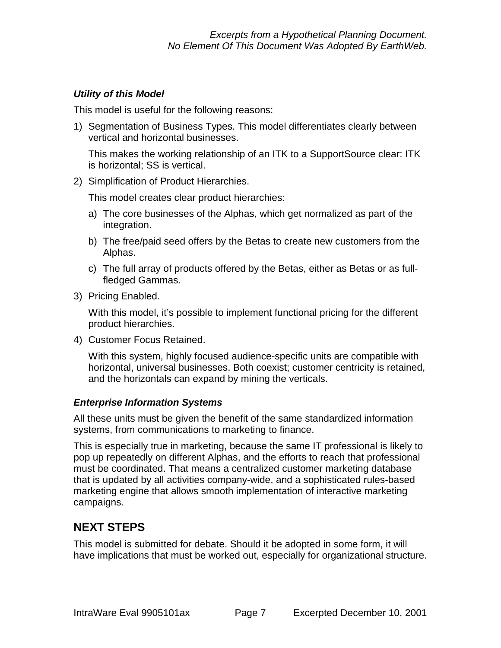### *Utility of this Model*

This model is useful for the following reasons:

1) Segmentation of Business Types. This model differentiates clearly between vertical and horizontal businesses.

This makes the working relationship of an ITK to a SupportSource clear: ITK is horizontal; SS is vertical.

2) Simplification of Product Hierarchies.

This model creates clear product hierarchies:

- a) The core businesses of the Alphas, which get normalized as part of the integration.
- b) The free/paid seed offers by the Betas to create new customers from the Alphas.
- c) The full array of products offered by the Betas, either as Betas or as fullfledged Gammas.
- 3) Pricing Enabled.

With this model, it's possible to implement functional pricing for the different product hierarchies.

4) Customer Focus Retained.

With this system, highly focused audience-specific units are compatible with horizontal, universal businesses. Both coexist; customer centricity is retained, and the horizontals can expand by mining the verticals.

### *Enterprise Information Systems*

All these units must be given the benefit of the same standardized information systems, from communications to marketing to finance.

This is especially true in marketing, because the same IT professional is likely to pop up repeatedly on different Alphas, and the efforts to reach that professional must be coordinated. That means a centralized customer marketing database that is updated by all activities company-wide, and a sophisticated rules-based marketing engine that allows smooth implementation of interactive marketing campaigns.

## **NEXT STEPS**

This model is submitted for debate. Should it be adopted in some form, it will have implications that must be worked out, especially for organizational structure.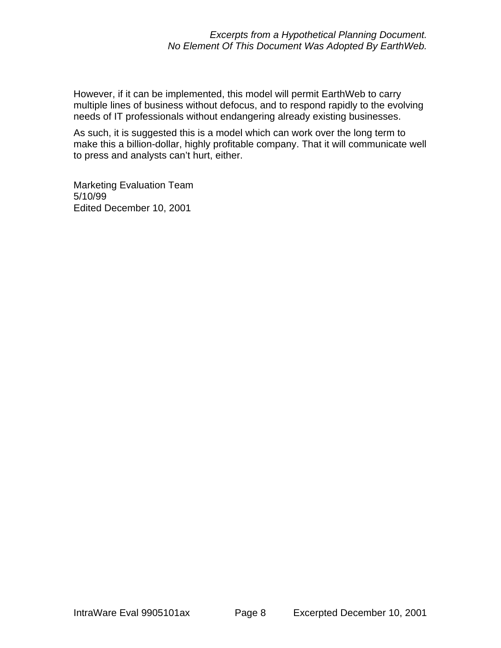However, if it can be implemented, this model will permit EarthWeb to carry multiple lines of business without defocus, and to respond rapidly to the evolving needs of IT professionals without endangering already existing businesses.

As such, it is suggested this is a model which can work over the long term to make this a billion-dollar, highly profitable company. That it will communicate well to press and analysts can't hurt, either.

Marketing Evaluation Team 5/10/99 Edited December 10, 2001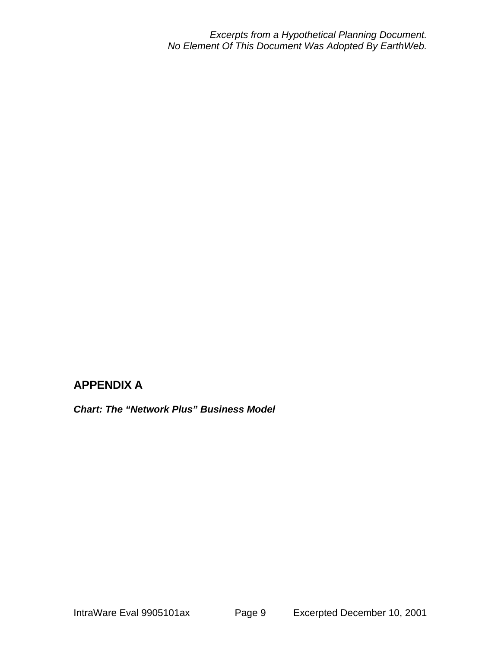*Excerpts from a Hypothetical Planning Document. No Element Of This Document Was Adopted By EarthWeb.*

## **APPENDIX A**

*Chart: The "Network Plus" Business Model*